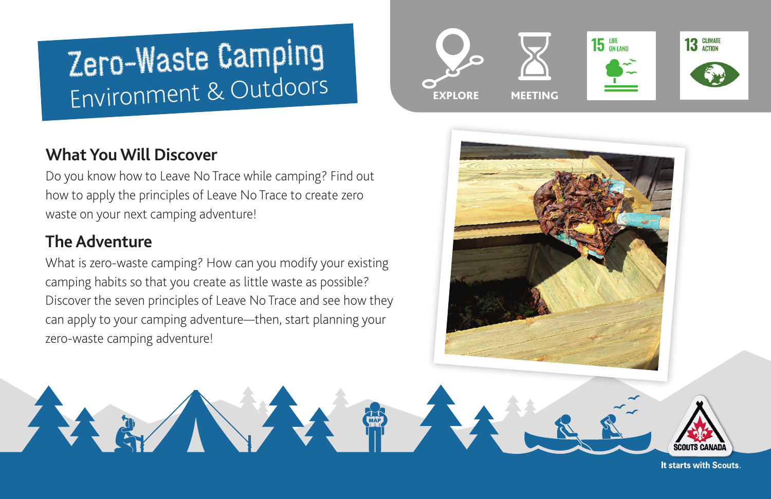# Zero-Waste Camping Environment & Outdoors

## **What You Will Discover**

Do you know how to Leave No Trace while camping? Find out how to apply the principles of Leave No Trace to create zero waste on your next camping adventure!

# **The Adventure**

What is zero-waste camping? How can you modify your existing camping habits so that you create as little waste as possible? Discover the seven principles of Leave No Trace and see how they can apply to your camping adventure—then, start planning your zero-waste camping adventure!





It starts with Scouts.